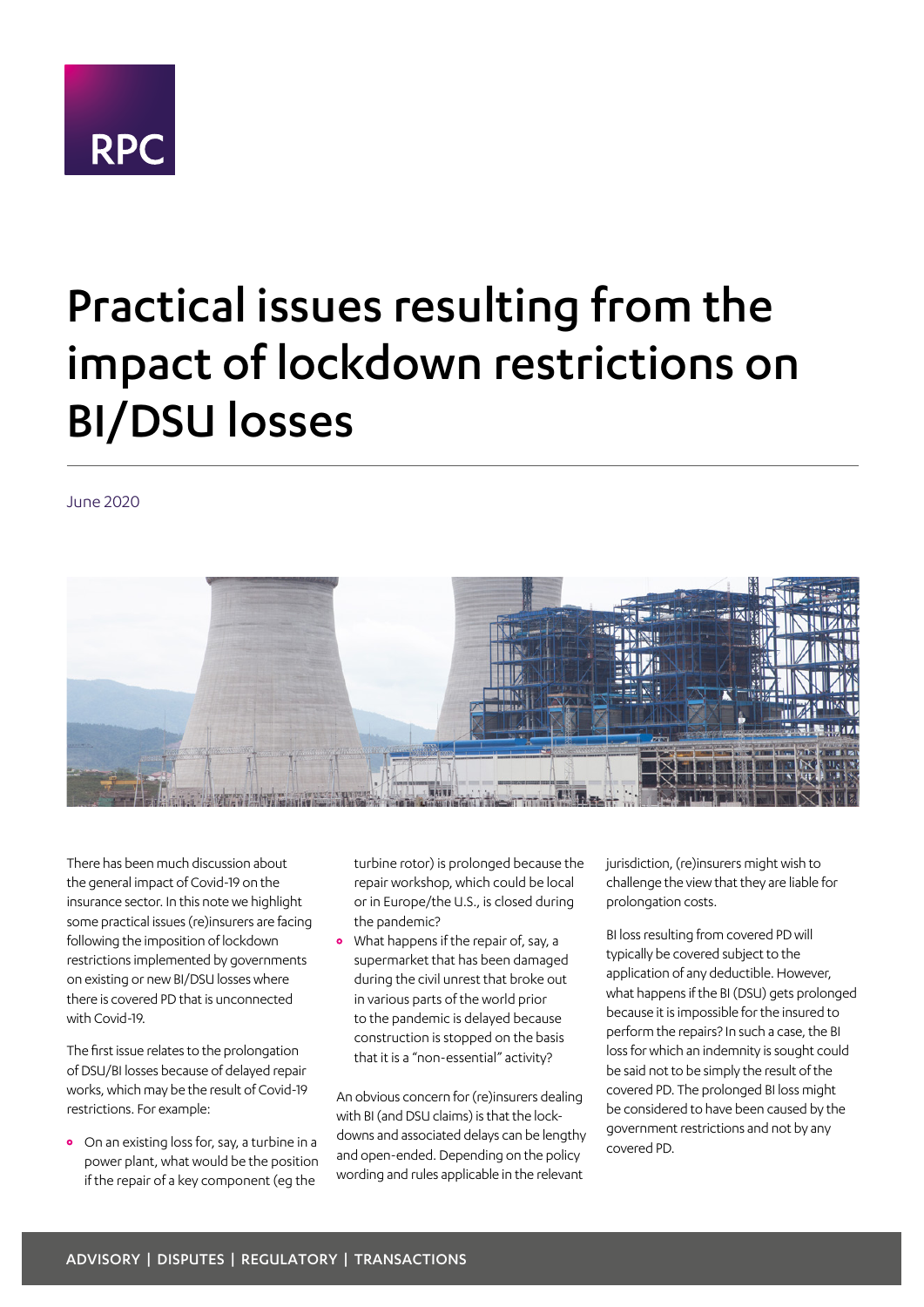

## Practical issues resulting from the impact of lockdown restrictions on BI/DSU losses

June 2020



There has been much discussion about the general impact of Covid-19 on the insurance sector. In this note we highlight some practical issues (re)insurers are facing following the imposition of lockdown restrictions implemented by governments on existing or new BI/DSU losses where there is covered PD that is unconnected with Covid-19.

The first issue relates to the prolongation of DSU/BI losses because of delayed repair works, which may be the result of Covid-19 restrictions. For example:

**•** On an existing loss for, say, a turbine in a power plant, what would be the position if the repair of a key component (eg the

turbine rotor) is prolonged because the repair workshop, which could be local or in Europe/the U.S., is closed during the pandemic?

**•** What happens if the repair of, say, a supermarket that has been damaged during the civil unrest that broke out in various parts of the world prior to the pandemic is delayed because construction is stopped on the basis that it is a "non-essential" activity?

An obvious concern for (re)insurers dealing with BI (and DSU claims) is that the lockdowns and associated delays can be lengthy and open-ended. Depending on the policy wording and rules applicable in the relevant

jurisdiction, (re)insurers might wish to challenge the view that they are liable for prolongation costs.

BI loss resulting from covered PD will typically be covered subject to the application of any deductible. However, what happens if the BI (DSU) gets prolonged because it is impossible for the insured to perform the repairs? In such a case, the BI loss for which an indemnity is sought could be said not to be simply the result of the covered PD. The prolonged BI loss might be considered to have been caused by the government restrictions and not by any covered PD.